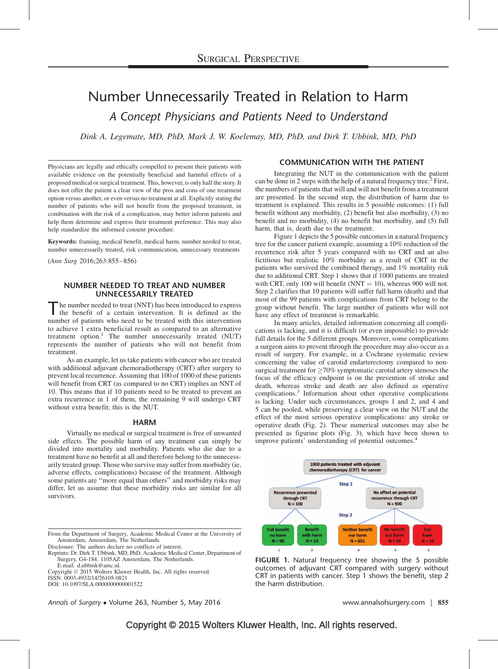# Number Unnecessarily Treated in Relation to Harm A Concept Physicians and Patients Need to Understand

Dink A. Legemate, MD, PhD, Mark J. W. Koelemay, MD, PhD, and Dirk T. Ubbink, MD, PhD

Physicians are legally and ethically compelled to present their patients with available evidence on the potentially beneficial and harmful effects of a proposed medical or surgical treatment. This, however, is only half the story. It does not offer the patient a clear view of the pros and cons of one treatment option versus another, or even versus no treatment at all. Explicitly stating the number of patients who will not benefit from the proposed treatment, in combination with the risk of a complication, may better inform patients and help them determine and express their treatment preference. This may also help standardize the informed consent procedure.

Keywords: framing, medical benefit, medical harm, number needed to treat, number unnecessarily treated, risk communication, unnecessary treatments

(Ann Surg 2016;263:855–856)

## NUMBER NEEDED TO TREAT AND NUMBER UNNECESSARILY TREATED

he number needed to treat (NNT) has been introduced to express the benefit of a certain intervention. It is defined as the number of patients who need to be treated with this intervention to achieve 1 extra beneficial result as compared to an alternative treatment option. $1$  The number unnecessarily treated (NUT) represents the number of patients who will not benefit from treatment.

As an example, let us take patients with cancer who are treated with additional adjuvant chemoradiotherapy (CRT) after surgery to prevent local recurrence. Assuming that 100 of 1000 of these patients will benefit from CRT (as compared to no CRT) implies an NNT of 10. This means that if 10 patients need to be treated to prevent an extra recurrence in 1 of them, the remaining 9 will undergo CRT without extra benefit; this is the NUT.

## HARM

Virtually no medical or surgical treatment is free of unwanted side effects. The possible harm of any treatment can simply be divided into mortality and morbidity. Patients who die due to a treatment have no benefit at all and therefore belong to the unnecessarily treated group. Those who survive may suffer from morbidity (ie, adverse effects, complications) because of the treatment. Although some patients are ''more equal than others'' and morbidity risks may differ, let us assume that these morbidity risks are similar for all survivors.

From the Department of Surgery, Academic Medical Center at the University of Amsterdam, Amsterdam, The Netherlands.

Disclosure: The authors declare no conflicts of interest. Reprints: Dr. Dirk T. Ubbink, MD, PhD, Academic Medical Center, Department of Surgery, G4-184, 1105AZ Amsterdam, The Netherlands. E-mail: [d.ubbink@amc.nl](mailto:d.ubbink@amc.nl).

Copyright © 2015 Wolters Kluwer Health, Inc. All rights reserved.

ISSN: 0003-4932/14/26105-0821

DOI: 10.1097/SLA.0000000000001522

# COMMUNICATION WITH THE PATIENT

Integrating the NUT in the communication with the patient can be done in [2](#page-1-0) steps with the help of a natural frequency tree.<sup>2</sup> First, the numbers of patients that will and will not benefit from a treatment are presented. In the second step, the distribution of harm due to treatment is explained. This results in 5 possible outcomes: (1) full benefit without any morbidity, (2) benefit but also morbidity, (3) no benefit and no morbidity, (4) no benefit but morbidity, and (5) full harm, that is, death due to the treatment.

Figure 1 depicts the 5 possible outcomes in a natural frequency tree for the cancer patient example, assuming a 10% reduction of the recurrence risk after 5 years compared with no CRT and an also fictitious but realistic 10% morbidity as a result of CRT in the patients who survived the combined therapy, and 1% mortality risk due to additional CRT. Step 1 shows that if 1000 patients are treated with CRT, only 100 will benefit (NNT  $=$  10), whereas 900 will not. Step 2 clarifies that 10 patients will suffer full harm (death) and that most of the 99 patients with complications from CRT belong to the group without benefit. The large number of patients who will not have any effect of treatment is remarkable.

In many articles, detailed information concerning all complications is lacking, and it is difficult (or even impossible) to provide full details for the 5 different groups. Moreover, some complications a surgeon aims to prevent through the procedure may also occur as a result of surgery. For example, in a Cochrane systematic review concerning the value of carotid endarterectomy compared to nonsurgical treatment for  $\geq$  70% symptomatic carotid artery stenoses the focus of the efficacy endpoint is on the prevention of stroke and death, whereas stroke and death are also defined as operative complications.[3](#page-1-0) Information about other operative complications is lacking. Under such circumstances, groups 1 and 2, and 4 and 5 can be pooled, while preserving a clear view on the NUT and the effect of the most serious operative complications: any stroke or operative death (Fig. 2). These numerical outcomes may also be presented as figurine plots (Fig. 3), which have been shown to improve patients' understanding of potential outcomes.[4](#page-1-0)



FIGURE 1. Natural frequency tree showing the 5 possible outcomes of adjuvant CRT compared with surgery without CRT in patients with cancer. Step 1 shows the benefit, step 2 the harm distribution.

Annals of Surgery • Volume 263, Number 5, May 2016 Www.annalsofsurgery.com | 855